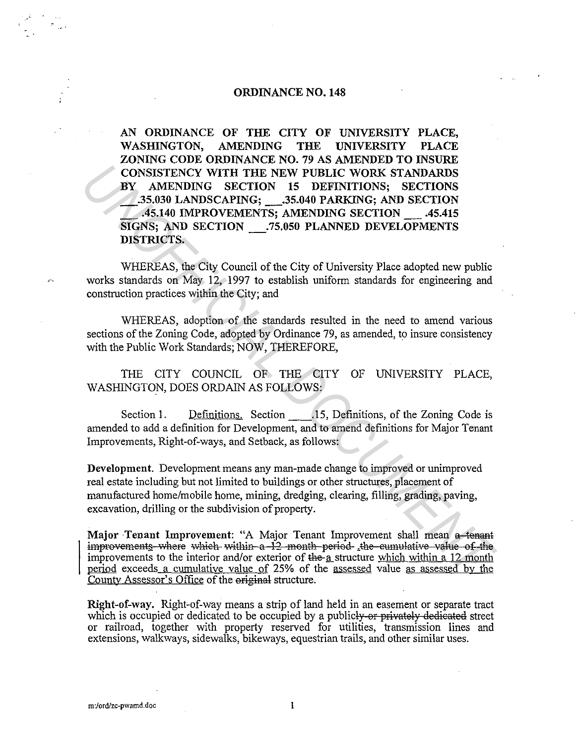### ORDINANCE NO. 148

AN ORDINANCE OF THE CITY OF UNIVERSITY PLACE, WASHINGTON, AMENDING THE UNIVERSITY PLACE ZONING CODE ORDINANCE NO. 79 AS AMENDED TO INSURE CONSISTENCY WITH THE NEW PUBLIC WORK STANDARDS BY AMENDING SECTION 15 DEFINITIONS; SECTIONS \_.35.030 LANDSCAPING; \_.35.040 PARKING; AND SECTION \_ .45.140 IMPROVEMENTS; AMENDING SECTION \_ .45.415 SIGNS; AND SECTION \_.75.050 PLANNED DEVELOPMENTS DISTRICTS. **CONSISTENCY WITH THE NEW PUBLIC WORK STANDARDS**<br> **W** AMENDING SECTION 15 DEFINITIONS; SECTION<br> **ASSAGE LANDECAPING;** THE NEW PUBLIC WORK STANDARDS<br> **ASSAGE AND SECTION**<br> **ASSAGE AND SECTION**<br> **ASSAGE AND SECTION**<br> **INSERI** 

WHEREAS, the City Council of the City of University Place adopted new public works standards on May 12, 1997 to establish uniform standards for engineering and construction practices within the City; and

WHEREAS, adoption of the standards resulted in the need to amend various sections of the Zoning Code, adopted by Ordinance 79, as amended, to insure consistency with the Public Work Standards; NOW, THEREFORE,

THE CITY COUNCIL OF THE CITY OF UNIVERSITY PLACE, WASHINGTON, DOES ORDAIN AS FOLLOWS:

Section 1. Definitions. Section 15, Definitions, of the Zoning Code is amended to add a definition for Development, and to amend definitions for Major Tenant Improvements, Right-of-ways, and Setback, as follows:

Development. Development means any man-made change to improved or unimproved real estate including but not limited to buildings or other structures, placement of manufactured home/mobile home, mining, dredging, clearing, filling, grading, paving, excavation, drilling or the subdivision of property.

Major Tenant Improvement: "A Major Tenant Improvement shall mean a tenant improvements where which within a 12 month period the cumulative value of the improvements to the interior and/or exterior of the-a structure which within a 12 month period exceeds a cumulative value of 25% of the assessed value as assessed by the County Assessor's Office of the original structure.

Right-of-way. Right-of-way means a strip of land held in an easement or separate tract which is occupied or dedicated to be occupied by a publicly or privately dedicated street or railroad, together with property reserved for utilities, transmission lines and extensions, walkways, sidewalks, bikeways, equestrian trails, and other similar uses.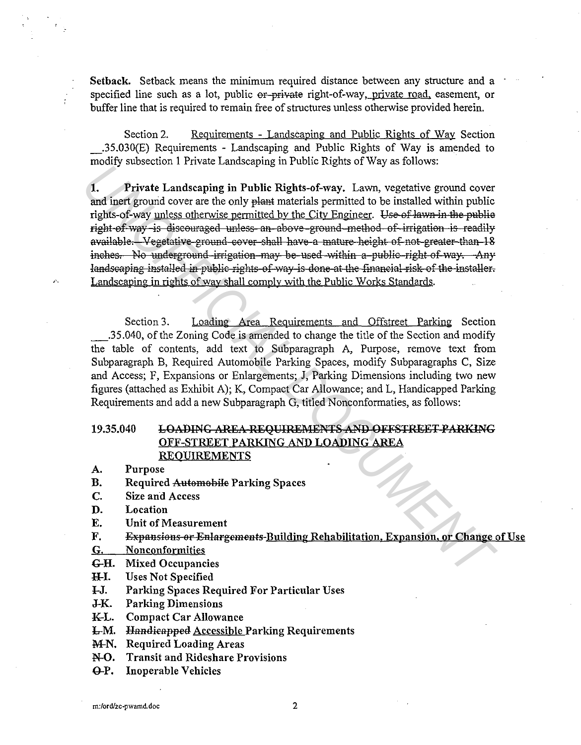Setback. Setback means the minimum required distance between any structure and a specified line such as a lot, public or-private right-of-way, private road, easement, or buffer line that is required to remain free of structures unless otherwise provided herein.

Section 2. Requirements - Landscaping and Public Rights of Way Section \_.35.030(E) Requirements - Landscaping and Public Rights of Way is amended to modify subsection 1 Private Landscaping in Public Rights of Way as follows:

1. Private Landscaping in Public Rights-of-way. Lawn, vegetative ground cover and inert ground cover are the only plant materials permitted to be installed within public rights-of-way unless otherwise permitted by the City Engineer. Use of lawn in the publie right of way is discouraged unless an above ground method of irrigation is readily available. Vegetative ground cover shall have a mature height of not greater than 18 inches. No underground irrigation may be used within a public right of way. Any landscaping installed in public rights of way is done at the financial risk of the installer. Landscaping in rights of way shall comply with the Public Works Standards. *Under Landscaping in Factor Schools, The State Schools, The First Landscaping in Factor and function and the first computer and the City Engineer. Use of Hawn in the public rights of way unless otherwise permitted by the* 

Section 3. Loading Area Requirements and Offstreet Parking Section \_.35.040, of the Zoning Code is amended to change the title of the Section and modify the table of contents, add text to Subparagraph A, Purpose, remove text from Subparagraph B, Required Automobile Parking Spaces, modify Subparagraphs C, Size and Access; F, Expansions or Enlargements; J, Parking Dimensions including two new figures (attached as Exhibit A); K, Compact Car Allowance; and L, Handicapped Parking Requirements and add a new Subparagraph G, titled Nonconformaties, as follows:

## 19.35.040 LOADING AREA REQUIREMENTS AND OFFSTREET PARKING OFF-STREET PARKING AND LOADING AREA **REQUIREMENTS**

- A. Purpose
- B. Required Automobile Parking Spaces
- C. Size and Access
- D. Location
- E. Unit of Measurement
- F. Expansions or Enlargements-Building Rehabilitation, Expansion, or Change of Use
- G. Nonconformities
- G-H. Mixed Occupancies
- H-I. Uses Not Specified
- l-J. Parking Spaces Required For Particular Uses
- J-K. Parking Dimensions
- K-L. Compact Car Allowance
- **L-M.** Handieapped Accessible Parking Requirements
- M-N. Required Loading Areas
- N-0. Transit and Rideshare Provisions
- Q-P. Inoperable Vehicles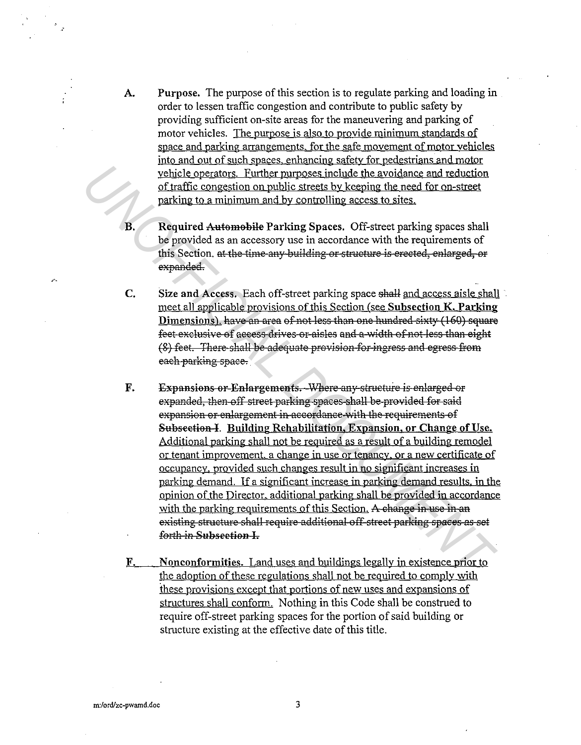- A. Purpose. The purpose of this section is to regulate parking and loading in order to lessen traffic congestion and contribute to public safety by providing sufficient on-site areas for the maneuvering and parking of motor vehicles. The purpose is also to provide minimum standards of space and parking arrangements. for the safe movement of motor vehicles into and out of such spaces. enhancing safety for pedestrians and motor vehicle operators. Further purposes include the avoidance and reduction of traffic congestion on public streets by keeping the need for on-street parking to a minimum and by controlling access to sites.
- B. Required Automobile Parking Spaces. Off-street parking spaces shall be provided as an accessory use in accordance with the requirements of this Section. at the time any building or struetare is erected, enlarged, or expanded.
- C. Size and Access. Each off-street parking space shall and access aisle shall meet all applicable provisions of this Section (see Subsection K. Parking Dimensions). have an area of not less than one hundred sixty (160) square feet exelusive of access drives or aisles and a width of not less than eight (8) feet. There shall be adequate provision for ingress and egress from eaeh parking spaee.
- F. Expansions or Enlargements. Where any structure is enlarged or expanded, then off street parking spaces shall be provided for said expansion or enlargement in accordance with the requirements of Subsection I. Building Rehabilitation, Expansion, or Change of Use. Additional parking shall not be required as a result of a building remodel or tenant improvement. a change in use or tenancy. or a new certificate of occupancy. provided such changes result in no significant increases in parking demand. If a significant increase in parking demand results. in the opinion of the Director. additional parking shall be provided in accordance with the parking requirements of this Section. A change in use in an existing structure shall require additional off-street parking spaces as set forth in Subsection I. Probability controls. The proposes include the avoidance and reduction<br>
or traffic congestion on public stress by keeping the need for on-street<br>
The fic congestion on public stress by keeping the need for on-street<br>
B.<br>
	- F. Nonconformities. Land uses and buildings legally in existence prior to the adoption of these regulations shall not be required to comply with these provisions except that portions of new uses and expansions of structures shall conform. Nothing in this Code shall be construed to require off-street parking spaces for the portion of said building or structure existing at the effective date of this title.

 $\mathbf{r}$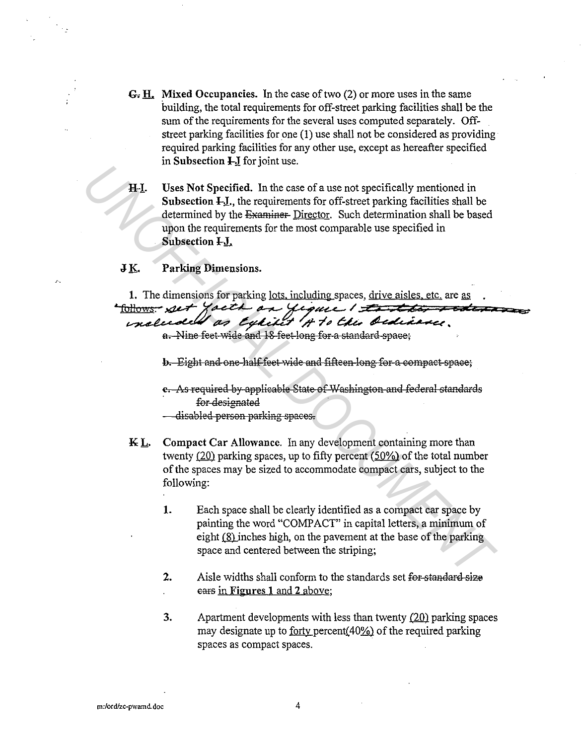- G. H. Mixed Occupancies. In the case of two (2) or more uses in the same building, the total requirements for off-street parking facilities shall be the sum of the requirements for the several uses computed separately. Offstreet parking facilities for one (1) use shall not be considered as providing required parking facilities for any other use, except as hereafter specified in Subsection I J for joint use.
- HI. Uses Not Specified. In the case of a use not specifically mentioned in **Subsection**  $HJ$ , the requirements for off-street parking facilities shall be determined by the Examiner-Director. Such determination shall be based upon the requirements for the most comparable use specified in Subsection I-J.

#### JK. **Parking Dimensions.**

1. The dimensions for parking lots, including spaces, drive aisles, etc. are as follows - set yacth on yique I test to rede

## included as Expirit 4 to the Ordinance.

a. Nine feet wide and 18 feet long for a standard space;

b. Eight and one-half feet wide and fifteen long for a compact space;

e. As required by applicable State of Washington and federal standards for designated

- disabled person parking spaces.
- Compact Car Allowance. In any development containing more than KL. twenty  $(20)$  parking spaces, up to fifty percent  $(50\%)$  of the total number of the spaces may be sized to accommodate compact cars, subject to the following:
	- 1. Each space shall be clearly identified as a compact car space by painting the word "COMPACT" in capital letters, a minimum of eight (8) inches high, on the pavement at the base of the parking space and centered between the striping;
	- $2.$ Aisle widths shall conform to the standards set for standard size ears in Figures 1 and 2 above;
	- 3. Apartment developments with less than twenty  $(20)$  parking spaces may designate up to <u>forty</u> percent(40%) of the required parking spaces as compact spaces.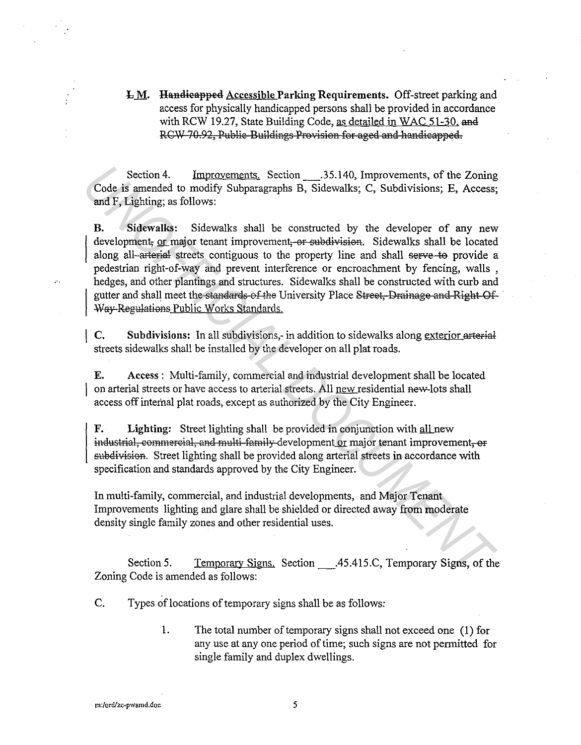$L M$ . Handieapped Accessible Parking Requirements. Off-street parking and access for physically handicapped persons shall be provided in accordance with RCW 19.27, State Building Code, as detailed in WAC 51-30. and RCW 70.92, Public Buildings Provision for aged and handicapped.

Section 4. Improvements. Section .35.140, Improvements, of the Zoning Code is amended to modify Subparagraphs B, Sidewalks; C, Subdivisions; E, Access; and F, Lighting; as follows:

B. Sidewalks: Sidewalks shall be constructed by the developer of any new development, or major tenant improvement, or subdivision. Sidewalks shall be located along all arterial streets contiguous to the property line and shall serve to provide a pedestrian right-of-way and prevent interference or encroachment by fencing, walls , hedges, and other plantings and structures. Sidewalks shall be constructed with curb and gutter and shall meet the standards of the University Place 8treet, Drainage and Right Of Way Regulations Public Works Standards. Section 4. Improvements, Section 135.140, Improvements, of the Zoning<br>
and F<sub>F</sub> Lighting; as follows:<br> **Columents** of modely Subparagraphs B, Sidewalks; C, Subdivisions; E, Access;<br> **B.**<br> **B.** Sidewalks shall be constructe

C. Subdivisions: In all subdivisions,- in addition to sidewalks along exterior arterial streets sidewalks shall be installed by the developer on all plat roads.

E. Access : Multi-family, commercial and industrial development shall be located on arterial streets or have access to arterial streets. All new residential new-lots shall access off internal plat roads, except as authorized by the City Engineer.

F. Lighting: Street lighting shall be provided in conjunction with all new industrial, commercial, and multi-family development or major tenant improvement, or subdivision. Street lighting shall be provided along arterial streets in accordance with specification and standards approved by the City Engineer.

In multi-family, commercial, and industrial developments, and Major Tenant Improvements lighting and glare shall be shielded or directed away from moderate density single family zones and other residential uses.

Section 5. Temporary Signs. Section \_\_\_.45.415.C, Temporary Signs, of the Zoning Code is amended as follows:

C. Types of locations of temporary signs shall be as follows:

1. The total number of temporary signs shall not exceed one ( 1) for any use at any one period of time; such signs are not permitted for single family and duplex dwellings.

**m:/ord/zc-pwamd.doc** 

 $\sim$ 

5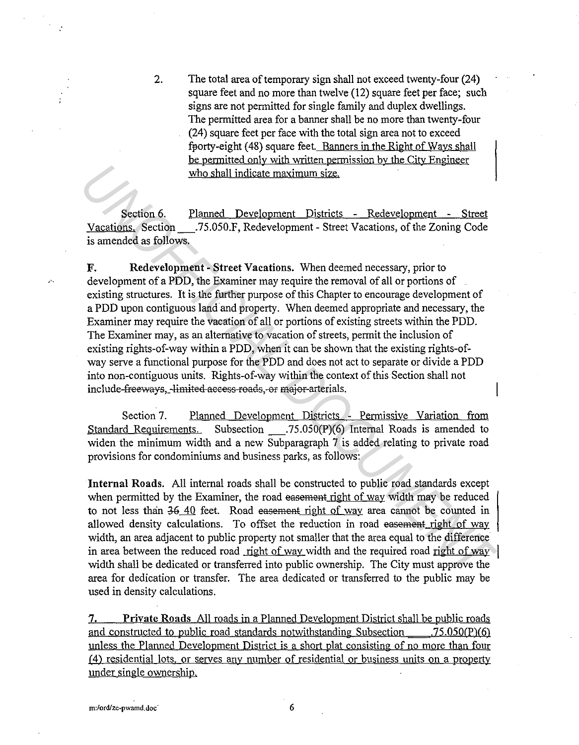2. The total area of temporary sign shall not exceed twenty-four (24) square feet and no more than twelve (12) square feet per face; such signs are not permitted for single family and duplex dwellings. The permitted area for a banner shall be no more than twenty-four (24) square feet per face with the total sign area not to exceed fporty-eight ( 48) square feet. Banners in the Right of Ways shall be permitted only with written permission bv the Citv Engineer who shall indicate maximum size.

Section 6. Planned Development Districts - Redevelopment - Street Vacations. Section\_.75.050.F, Redevelopment- Street Vacations, of the Zoning Code is amended as follows.

**F. Redevelopment - Street Vacations.** When deemed necessary, prior to  $\sim$  development of a PDD, the Examiner may require the removal of all or portions of existing structures. It is the further purpose of this Chapter to encourage development of a PDD upon contiguous land'and property. When deemed appropriate and necessary, the Examiner may require the vacation of all or portions of existing streets within the PDD. The Examiner may, as an alternative to vacation of streets, permit the inclusion of existing rights-of-way within a PDD, when it can be shown that the existing rights-ofway serve a functional purpose for the PDD and does not act to separate or divide a PDD into non-contiguous units. Rights-of-way within the context of this Section shall not include freeways, limited access roads, or major arterials. **Example 12**<br> **Example 12**<br> **Example 12**<br> **Example 12**<br> **Example 12**<br> **Example 12**<br> **Example 12**<br> **Example 12**<br> **Example 12**<br> **Example 12**<br> **Example 12**<br> **Example 12**<br> **Example 12**<br> **Example 12**<br> **Example 12**<br> **Example 12** 

Section 7. Planned Development Districts - Permissive Variation from Standard Requirements. Subsection .75.050(P)(6) Internal Roads is amended to widen the minimum width and a new Subparagraph 7 is added relating to private road provisions for condominiums and business parks, as follows:

**Internal Roads.** All internal roads shall be constructed to public road standards except when permitted by the Examiner, the road easement right of way width may be reduced to not less than 36\_40 feet. Road easement right of way area cannot be counted in allowed density calculations. To offset the reduction in road easement right of way width, an area adjacent to public property not smaller that the area equal to the difference in area between the reduced road right of way width and the required road right of way width shall be dedicated or transferred into public ownership. The City must approve the area for dedication or transfer. The area dedicated or transferred to the public may be used in density calculations.

**7. Private Roads** All roads in a Planned Development District shall be public roads and constructed to public road standards notwithstanding Subsection . 75.050(P)(6) unless the Planned Development District is a short plat consisting of no more than four ( 4) residential lots, or serves any number of residential or business units on a property under single ownership,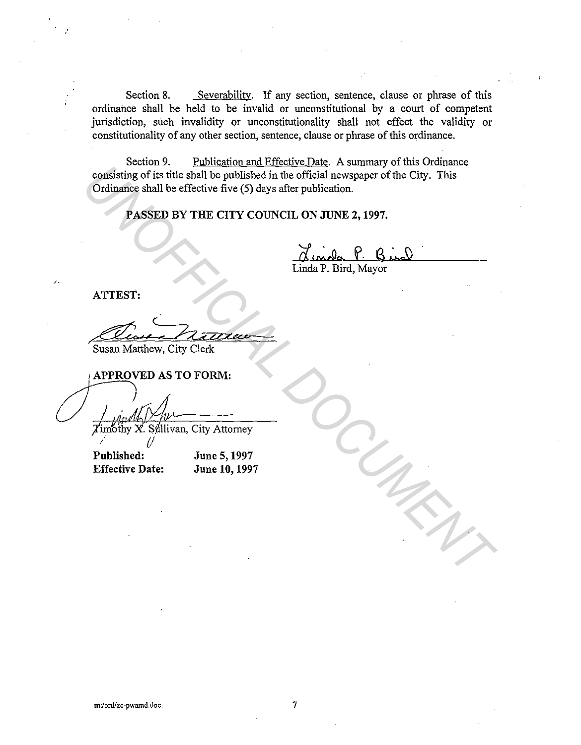Section 8. Severability. If any section, sentence, clause or phrase of this ordinance shall be held to be invalid or unconstitutional by a court of competent jurisdiction, such invalidity or unconstitutionality shall not effect the validity or constitutionality of any other section, sentence, clause or phrase of this ordinance.

Section 9. Publication and Effective Date. A summary of this Ordinance consisting of its title shall be published in the official newspaper of the City. This Ordinance shall be effective five (5) days after publication. **CONSisting of its title shall be published in the official newspaper of the City. This Cordinance shall be effective five (5) days after publication.**<br> **PASSED BY THE CITY COUNCIL ON JUNE 2, 1997.**<br> **PASSED BY THE CITY C** 

PASSED BY THE CITY COUNCIL ON JUNE 2, 1997.

Linda P. Bird, Mayor

ATTEST:

*:* 

 $7722$ 

Susan Matthew, City Clerk

Effective Date:

June 5, 1997 June 10, 1997